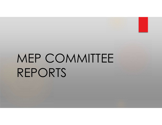

# MEP COMMITTEE REPORTS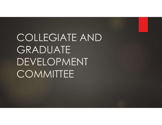COLLEGIATE AND GRADUATE DEVELOPMENT **COMMITTEE**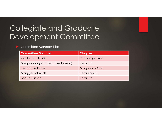## Collegiate and Graduate Development Committee

#### ► Committee Membership:

| llegiate and Graduate              |                      |
|------------------------------------|----------------------|
| velopment Committee                |                      |
| Committee Membership:              |                      |
| <b>Committee Member</b>            | <b>Chapter</b>       |
| Kim Dao (Chair)                    | Pittsburgh Grad      |
| Megan Klingler (Executive Liaison) | <b>Beta Eta</b>      |
| <b>Stephanie Davis</b>             | <b>Maryland Grad</b> |
| Maggie Schmidt                     | Beta Kappa           |
| <b>Jackie Turner</b>               | <b>Beta Eta</b>      |
|                                    |                      |
|                                    |                      |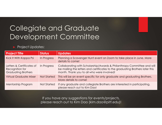## Collegiate and Graduate Development Committee

#### Project Updates:

|                                                                            |                    | <b>Collegiate and Graduate</b><br>Development Committee                                                                                                                                                |
|----------------------------------------------------------------------------|--------------------|--------------------------------------------------------------------------------------------------------------------------------------------------------------------------------------------------------|
| <b>Project Updates:</b>                                                    |                    |                                                                                                                                                                                                        |
| <b>Project Title</b>                                                       | <b>Status</b>      | <b>Updates</b>                                                                                                                                                                                         |
| Kick It With Kappa Psi                                                     | In Progress        | Planning a Scavenger Hunt event on Zoom to take place in June. More<br>details to come!                                                                                                                |
| Letters & Certificates of<br>Recognition for<br><b>Graduating Brothers</b> | In Progress        | Collaborating with Scholarship/Awards & Philanthropy Committee and will<br>be mailing the letters and certificates to the graduating Brothers later this<br>month. Thank you to all who were involved! |
| <b>Virtual Graduate Mixer</b>                                              | <b>Not Started</b> | This will be an event specific for only graduate and graduating Brothers.                                                                                                                              |
|                                                                            |                    | More details to come!                                                                                                                                                                                  |
| Mentorship Program                                                         | <b>Not Started</b> | If any graduate and collegiate Brothers are interested in participating,<br>please reach out to Kim Dao!                                                                                               |

If you have any suggestions for events/projects, please reach out to Kim Dao (kim.dao@pitt.edu)!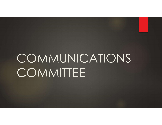# COMMUNICATIONS **COMMITTEE**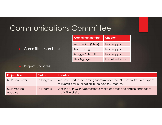## Communications Committee

| Committee<br><b>Committee Member</b> | <b>Chapter</b>                  |  |
|--------------------------------------|---------------------------------|--|
| Arianne Go (Chair)                   |                                 |  |
| Feiran Liang                         | <b>Beta Kappa</b><br>Beta Kappa |  |
| Maggie Schmidt                       | <b>Beta Kappa</b>               |  |

#### ► Project Updates:

| <b>Communications Committee</b> |                         |                                                                                                                                |                                                                                       |                   |  |  |
|---------------------------------|-------------------------|--------------------------------------------------------------------------------------------------------------------------------|---------------------------------------------------------------------------------------|-------------------|--|--|
| Committee Members:              |                         | <b>Committee Member</b>                                                                                                        | <b>Chapter</b>                                                                        |                   |  |  |
|                                 |                         | Arianne Go (Chair)                                                                                                             | Beta Kappa                                                                            |                   |  |  |
|                                 |                         | Feiran Liang                                                                                                                   | Beta Kappa                                                                            |                   |  |  |
|                                 |                         | Maggie Schmidt                                                                                                                 | Beta Kappa                                                                            |                   |  |  |
|                                 |                         |                                                                                                                                | Thai Nguygen                                                                          | Executive Liaison |  |  |
|                                 | <b>Project Updates:</b> |                                                                                                                                |                                                                                       |                   |  |  |
| <b>Project Title</b>            | <b>Status</b>           | <b>Updates</b>                                                                                                                 |                                                                                       |                   |  |  |
| <b>MEP Newsletter</b>           | In Progress             | We have started accepting submission for the MEP newsletter! We expect<br>to submit it for publication in the next few months. |                                                                                       |                   |  |  |
| <b>MEP Website</b><br>updates   | In Progress             |                                                                                                                                | Working with MEP Webmaster to make updates and finalize changes to<br>the MEP website |                   |  |  |
|                                 |                         |                                                                                                                                |                                                                                       |                   |  |  |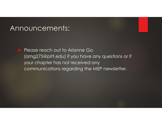### Announcements:

▶ Please reach out to Arianne Go (amg275@pitt.edu) if you have any questions or if your chapter has not received any communications regarding the MEP newsletter.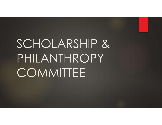# SCHOLARSHIP & PHILANTHROPY **COMMITTEE**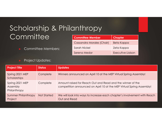## Scholarship & Philanthropy **Committee**

| anthropy<br><b>Committee Member</b> | <b>Chapter</b>           |  |
|-------------------------------------|--------------------------|--|
| Cassandra Morales (Chair)           | <b>Beta Kappa</b>        |  |
| Sarah Nickel                        | Zeta Kappa               |  |
| Serena Medor                        | <b>Executive Liaison</b> |  |
|                                     |                          |  |

|                                             |                         |                | Scholarship & Philanthropy                                                                                                          |                   |  |
|---------------------------------------------|-------------------------|----------------|-------------------------------------------------------------------------------------------------------------------------------------|-------------------|--|
| Committee                                   |                         |                | <b>Committee Member</b>                                                                                                             | <b>Chapter</b>    |  |
|                                             |                         |                | Cassandra Morales (Chair)                                                                                                           | Beta Kappa        |  |
| <b>Committee Members:</b>                   |                         |                | Sarah Nickel                                                                                                                        | Zeta Kappa        |  |
|                                             |                         |                | Serena Medor                                                                                                                        | Executive Ligison |  |
|                                             | <b>Project Updates:</b> |                |                                                                                                                                     |                   |  |
| <b>Project Title</b>                        | <b>Status</b>           | <b>Updates</b> |                                                                                                                                     |                   |  |
| Spring 2021 MEP<br>Scholarships             | Complete                |                | Winners announced on April 10 at the MEP Virtual Spring Assembly!                                                                   |                   |  |
| Spring 2021 MEP<br>Assembly<br>Philanthropy | Complete                |                | Amount raised for Reach Out and Read and the winner of the<br>competition announced on April 10 at the MEP Virtual Spring Assembly! |                   |  |
| <b>Summer Philanthropy</b><br>Project       | Not Started             | Out and Read   | We will look into ways to increase each chapter's involvement with Reach                                                            |                   |  |
|                                             |                         |                |                                                                                                                                     |                   |  |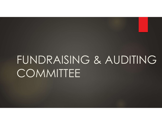## FUNDRAISING & AUDITING **COMMITTEE**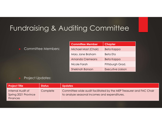## Fundraising & Auditing Committee

#### Committee Members:

| diting Committee<br><b>Committee Member</b> |                                     |
|---------------------------------------------|-------------------------------------|
| Michael Mast (Chair)                        | <b>Chapter</b><br><b>Beta Kappa</b> |
| Mary Jane Braham                            | <b>Beta Eta</b>                     |
| <b>Amanda Cremeans</b>                      | Beta Kappa                          |
| Nicole Farah                                | Pittsburgh Grad.                    |

#### ► Project Updates:

| <b>Committee Member</b><br><b>Chapter</b><br>Committee Members:<br>Michael Mast (Chair)<br>Beta Kappa<br>Mary Jane Braham<br>Beta Eta<br><b>Amanda Cremeans</b><br>Beta Kappa<br>Nicole Farah<br>Pittsburgh Grad.<br><b>Executive Liaison</b><br><b>Shekinah Banson</b><br><b>Project Updates:</b><br><b>Updates</b><br><b>Project Title</b><br><b>Status</b><br>Internal Audit of<br>Complete<br>Spring 2021 Province<br>to analyze seasonal incomes and expenditures.<br><b>Finances</b> |  |  |  |  |
|--------------------------------------------------------------------------------------------------------------------------------------------------------------------------------------------------------------------------------------------------------------------------------------------------------------------------------------------------------------------------------------------------------------------------------------------------------------------------------------------|--|--|--|--|
|                                                                                                                                                                                                                                                                                                                                                                                                                                                                                            |  |  |  |  |
|                                                                                                                                                                                                                                                                                                                                                                                                                                                                                            |  |  |  |  |
|                                                                                                                                                                                                                                                                                                                                                                                                                                                                                            |  |  |  |  |
|                                                                                                                                                                                                                                                                                                                                                                                                                                                                                            |  |  |  |  |
|                                                                                                                                                                                                                                                                                                                                                                                                                                                                                            |  |  |  |  |
|                                                                                                                                                                                                                                                                                                                                                                                                                                                                                            |  |  |  |  |
| Committee-wide audit facilitated by the MEP Treasurer and FAC Chair                                                                                                                                                                                                                                                                                                                                                                                                                        |  |  |  |  |
|                                                                                                                                                                                                                                                                                                                                                                                                                                                                                            |  |  |  |  |
|                                                                                                                                                                                                                                                                                                                                                                                                                                                                                            |  |  |  |  |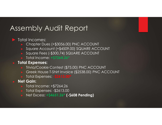## Assembly Audit Report

#### Total Incomes:

- ► Chapter Dues (+\$3056.00) PNC ACCOUNT
- ► Square Account (+\$4509.00) SQUARE ACCOUNT
- ► Square Fees (-\$300.74) SQUARE ACCOUNT
- ► Total Income: +\$7264.26\*

#### ► Total Expenses:

- ► Trivia/Cookie Contest (\$75.00) PNC ACCOUNT
- Greek House T-Shirt Invoice (\$2538.00) PNC ACCOUNT
- Total Expenses: -\$2613.00\*

#### **Net Gain:**

- ► Total Income: +\$7264.26
- ► Total Expenses: -\$2613.00
- Net Excess: +\$4651.26\* (-\$608 Pending)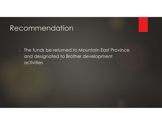## Recommendation

► The funds be returned to Mountain East Province and designated to Brother development activities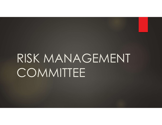# RISK MANAGEMENT **COMMITTEE**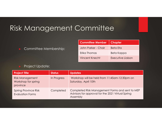## Risk Management Committee

| Committee               |                          |  |
|-------------------------|--------------------------|--|
|                         |                          |  |
| <b>Committee Member</b> | <b>Chapter</b>           |  |
| John Parker - Chair     | <b>Beta Eta</b>          |  |
| Erika Thomas            | Beta Kappa               |  |
| <b>Vincent Knecht</b>   | <b>Executive Liaison</b> |  |
|                         |                          |  |

#### Project Update:

| Risk Management Committee                                 |               |                      |                                                   |                                                 |
|-----------------------------------------------------------|---------------|----------------------|---------------------------------------------------|-------------------------------------------------|
|                                                           |               |                      | <b>Committee Member</b>                           | <b>Chapter</b>                                  |
| Committee Membership:                                     |               |                      | John Parker - Chair                               | <b>Beta Eta</b>                                 |
|                                                           |               |                      | Erika Thomas                                      | Beta Kappa                                      |
|                                                           |               |                      | <b>Vincent Knecht</b>                             | Executive Ligison                               |
| <b>Project Update:</b>                                    |               |                      |                                                   |                                                 |
| <b>Project Title</b>                                      | <b>Status</b> | <b>Updates</b>       |                                                   |                                                 |
| <b>Risk Management</b><br>Workshop for spring<br>province | In Progress   | Saturday, April 10th | Workshop will be held from 11:45am-12:30pm on     |                                                 |
| <b>Spring Province Risk</b><br><b>Evaluation Forms</b>    | Completed     | Assembly             | Advisors for approval for the 2021 Virtual Spring | Completed Risk Management Forms and sent to MEP |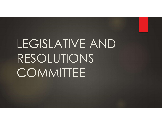# LEGISLATIVE AND RESOLUTIONS **COMMITTEE**